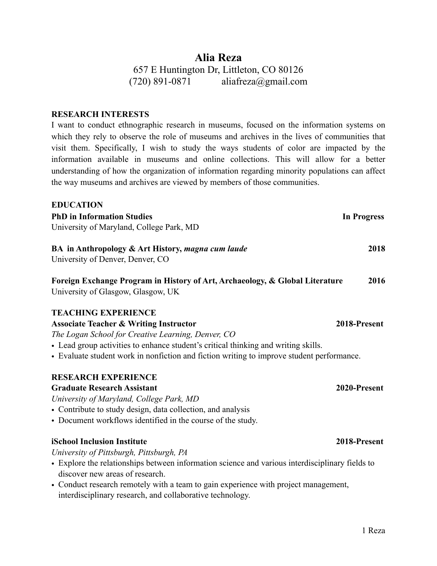# **Alia Reza** 657 E Huntington Dr, Littleton, CO 80126  $(720)$  891-0871 [aliafreza@gmail.com](mailto:aliafreza@gmail.com)

### **RESEARCH INTERESTS**

I want to conduct ethnographic research in museums, focused on the information systems on which they rely to observe the role of museums and archives in the lives of communities that visit them. Specifically, I wish to study the ways students of color are impacted by the information available in museums and online collections. This will allow for a better understanding of how the organization of information regarding minority populations can affect the way museums and archives are viewed by members of those communities.

### **EDUCATION**

**PhD in Information Studies In Progress** University of Maryland, College Park, MD **BA in Anthropology & Art History,** *magna cum laude* **2018**

University of Denver, Denver, CO

**Foreign Exchange Program in History of Art, Archaeology, & Global Literature 2016** University of Glasgow, Glasgow, UK

## **TEACHING EXPERIENCE**

## **Associate Teacher & Writing Instructor 2018-Present**

*The Logan School for Creative Learning, Denver, CO*

- Lead group activities to enhance student's critical thinking and writing skills.
- Evaluate student work in nonfiction and fiction writing to improve student performance.

## **RESEARCH EXPERIENCE**

## **Graduate Research Assistant 2020-Present**

*University of Maryland, College Park, MD*

- Contribute to study design, data collection, and analysis
- Document workflows identified in the course of the study.

## **iSchool Inclusion Institute 2018-Present**

*University of Pittsburgh, Pittsburgh, PA*

- Explore the relationships between information science and various interdisciplinary fields to discover new areas of research.
- Conduct research remotely with a team to gain experience with project management, interdisciplinary research, and collaborative technology.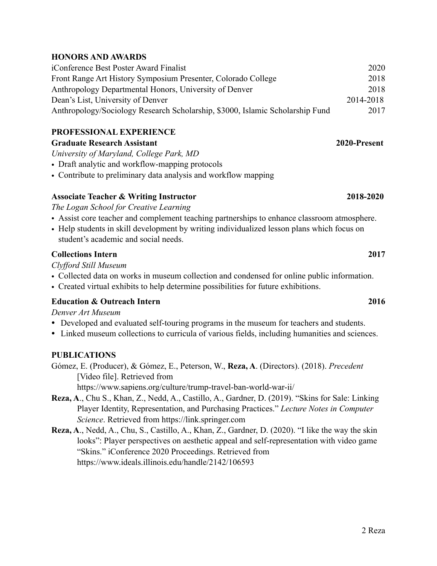## **HONORS AND AWARDS**

| iConference Best Poster Award Finalist                                        | 2020      |
|-------------------------------------------------------------------------------|-----------|
| Front Range Art History Symposium Presenter, Colorado College                 | 2018      |
| Anthropology Departmental Honors, University of Denver                        | 2018      |
| Dean's List, University of Denver                                             | 2014-2018 |
| Anthropology/Sociology Research Scholarship, \$3000, Islamic Scholarship Fund | 2017      |

## **PROFESSIONAL EXPERIENCE**

## **Graduate Research Assistant 2020-Present**

*University of Maryland, College Park, MD*

- Draft analytic and workflow-mapping protocols
- Contribute to preliminary data analysis and workflow mapping

## **Associate Teacher & Writing Instructor 2018-2020**

*The Logan School for Creative Learning*

- Assist core teacher and complement teaching partnerships to enhance classroom atmosphere.
- Help students in skill development by writing individualized lesson plans which focus on student's academic and social needs.

## **Collections Intern 2017**

*Clyfford Still Museum*

- Collected data on works in museum collection and condensed for online public information.
- Created virtual exhibits to help determine possibilities for future exhibitions.

## **Education & Outreach Intern 2016**

*Denver Art Museum*

- Developed and evaluated self-touring programs in the museum for teachers and students.
- Linked museum collections to curricula of various fields, including humanities and sciences.

## **PUBLICATIONS**

Gómez, E. (Producer), & Gómez, E., Peterson, W., **Reza, A**. (Directors). (2018). *Precedent* [Video file]. Retrieved from <https://www.sapiens.org/culture/trump-travel-ban-world-war-ii/>

- **Reza, A**., Chu S., Khan, Z., Nedd, A., Castillo, A., Gardner, D. (2019). "Skins for Sale: Linking Player Identity, Representation, and Purchasing Practices." *Lecture Notes in Computer Science*. Retrieved from [https://link.springer.com](https://link.springer.com/)
- **Reza, A**., Nedd, A., Chu, S., Castillo, A., Khan, Z., Gardner, D. (2020). "I like the way the skin looks": Player perspectives on aesthetic appeal and self-representation with video game "Skins." iConference 2020 Proceedings. Retrieved from <https://www.ideals.illinois.edu/handle/2142/106593>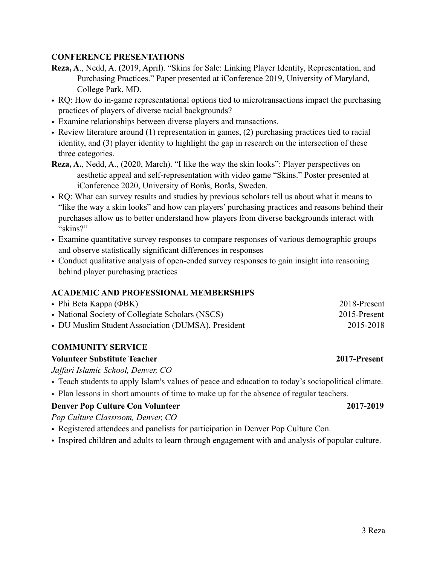## **CONFERENCE PRESENTATIONS**

- **Reza, A**., Nedd, A. (2019, April). "Skins for Sale: Linking Player Identity, Representation, and Purchasing Practices." Paper presented at iConference 2019, University of Maryland, College Park, MD.
- RQ: How do in-game representational options tied to microtransactions impact the purchasing practices of players of diverse racial backgrounds?
- Examine relationships between diverse players and transactions.
- Review literature around (1) representation in games, (2) purchasing practices tied to racial identity, and (3) player identity to highlight the gap in research on the intersection of these three categories.
- **Reza, A.**, Nedd, A., (2020, March). "I like the way the skin looks": Player perspectives on aesthetic appeal and self-representation with video game "Skins." Poster presented at iConference 2020, University of Borås, Borås, Sweden.
- RQ: What can survey results and studies by previous scholars tell us about what it means to "like the way a skin looks" and how can players' purchasing practices and reasons behind their purchases allow us to better understand how players from diverse backgrounds interact with "skins?"
- Examine quantitative survey responses to compare responses of various demographic groups and observe statistically significant differences in responses
- Conduct qualitative analysis of open-ended survey responses to gain insight into reasoning behind player purchasing practices

## **ACADEMIC AND PROFESSIONAL MEMBERSHIPS**

| • Phi Beta Kappa ( $\Phi$ BK)                      | 2018-Present |
|----------------------------------------------------|--------------|
| • National Society of Collegiate Scholars (NSCS)   | 2015-Present |
| • DU Muslim Student Association (DUMSA), President | 2015-2018    |

## **COMMUNITY SERVICE**

## **Volunteer Substitute Teacher 2017-Present**

*Jaffari Islamic School, Denver, CO*

- Teach students to apply Islam's values of peace and education to today's sociopolitical climate.
- Plan lessons in short amounts of time to make up for the absence of regular teachers.

## **Denver Pop Culture Con Volunteer 2017-2019**

*Pop Culture Classroom, Denver, CO*

- Registered attendees and panelists for participation in Denver Pop Culture Con.
- Inspired children and adults to learn through engagement with and analysis of popular culture.